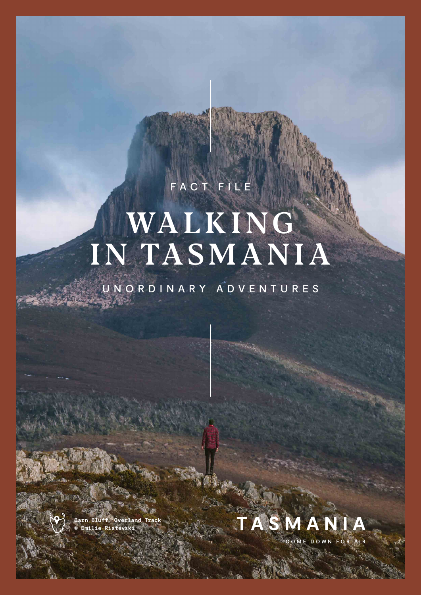## FACT FILE

# WALKING IN TASMANIA

UNORDINARY ADVENTURES



**Barn Bluff, Overland Track © Emilie Ristevski**

A Los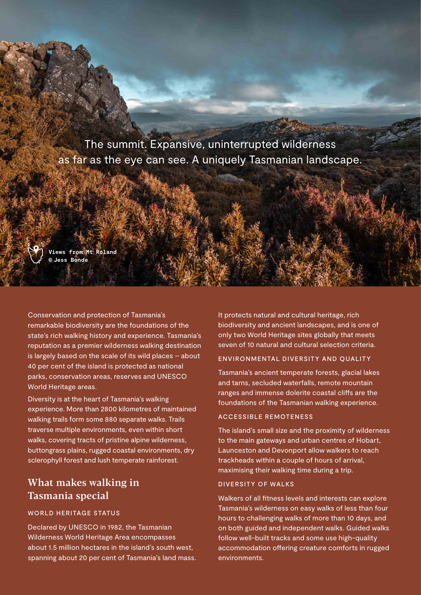The summit. Expansive, uninterrupted wilderness as far as the eye can see. A uniquely Tasmanian landscape.



Conservation and protection of Tasmania's remarkable biodiversity are the foundations of the state's rich walking history and experience. Tasmania's reputation as a premier wilderness walking destination is largely based on the scale of its wild places – about 40 per cent of the island is protected as national parks, conservation areas, reserves and UNESCO World Heritage areas.

Diversity is at the heart of Tasmania's walking experience. More than 2800 kilometres of maintained walking trails form some 880 separate walks. Trails traverse multiple environments, even within short walks, covering tracts of pristine alpine wilderness, buttongrass plains, rugged coastal environments, dry sclerophyll forest and lush temperate rainforest.

## What makes walking in Tasmania special

#### WORLD HERITAGE STATUS

Declared by UNESCO in 1982, the Tasmanian Wilderness World Heritage Area encompasses about 1.5 million hectares in the island's south west, spanning about 20 per cent of Tasmania's land mass. It protects natural and cultural heritage, rich biodiversity and ancient landscapes, and is one of only two World Heritage sites globally that meets seven of 10 natural and cultural selection criteria.

#### ENVIRONMENTAL DIVERSITY AND QUALITY

Tasmania's ancient temperate forests, glacial lakes and tarns, secluded waterfalls, remote mountain ranges and immense dolerite coastal cliffs are the foundations of the Tasmanian walking experience.

#### ACCESSIBLE REMOTENESS

The island's small size and the proximity of wilderness to the main gateways and urban centres of Hobart, Launceston and Devonport allow walkers to reach trackheads within a couple of hours of arrival, maximising their walking time during a trip.

#### DIVERSITY OF WALKS

Walkers of all fitness levels and interests can explore Tasmania's wilderness on easy walks of less than four hours to challenging walks of more than 10 days, and on both guided and independent walks. Guided walks follow well-built tracks and some use high-quality accommodation offering creature comforts in rugged environments.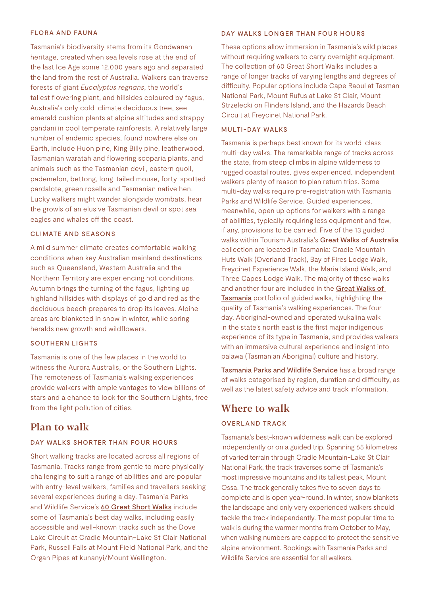#### FLORA AND FAUNA

Tasmania's biodiversity stems from its Gondwanan heritage, created when sea levels rose at the end of the last Ice Age some 12,000 years ago and separated the land from the rest of Australia. Walkers can traverse forests of giant *Eucalyptus regnans*, the world's tallest flowering plant, and hillsides coloured by fagus, Australia's only cold-climate deciduous tree, see emerald cushion plants at alpine altitudes and strappy pandani in cool temperate rainforests. A relatively large number of endemic species, found nowhere else on Earth, include Huon pine, King Billy pine, leatherwood, Tasmanian waratah and flowering scoparia plants, and animals such as the Tasmanian devil, eastern quoll, pademelon, bettong, long-tailed mouse, forty-spotted pardalote, green rosella and Tasmanian native hen. Lucky walkers might wander alongside wombats, hear the growls of an elusive Tasmanian devil or spot sea eagles and whales off the coast.

#### CLIMATE AND SEASONS

A mild summer climate creates comfortable walking conditions when key Australian mainland destinations such as Queensland, Western Australia and the Northern Territory are experiencing hot conditions. Autumn brings the turning of the fagus, lighting up highland hillsides with displays of gold and red as the deciduous beech prepares to drop its leaves. Alpine areas are blanketed in snow in winter, while spring heralds new growth and wildflowers.

#### SOUTHERN LIGHTS

Tasmania is one of the few places in the world to witness the Aurora Australis, or the Southern Lights. The remoteness of Tasmania's walking experiences provide walkers with ample vantages to view billions of stars and a chance to look for the Southern Lights, free from the light pollution of cities.

#### Plan to walk

#### DAY WALKS SHORTER THAN FOUR HOURS

Short walking tracks are located across all regions of Tasmania. Tracks range from gentle to more physically challenging to suit a range of abilities and are popular with entry-level walkers, families and travellers seeking several experiences during a day. Tasmania Parks and Wildlife Service's [60 Great Short Walks](https://parks.tas.gov.au/things-to-do/60-great-short-walks) include some of Tasmania's best day walks, including easily accessible and well-known tracks such as the Dove Lake Circuit at Cradle Mountain-Lake St Clair National Park, Russell Falls at Mount Field National Park, and the Organ Pipes at kunanyi/Mount Wellington.

#### DAY WALKS LONGER THAN FOUR HOURS

These options allow immersion in Tasmania's wild places without requiring walkers to carry overnight equipment. The collection of 60 Great Short Walks includes a range of longer tracks of varying lengths and degrees of difficulty. Popular options include Cape Raoul at Tasman National Park, Mount Rufus at Lake St Clair, Mount Strzelecki on Flinders Island, and the Hazards Beach Circuit at Freycinet National Park.

#### MULTI-DAY WALKS

Tasmania is perhaps best known for its world-class multi-day walks. The remarkable range of tracks across the state, from steep climbs in alpine wilderness to rugged coastal routes, gives experienced, independent walkers plenty of reason to plan return trips. Some multi-day walks require pre-registration with Tasmania Parks and Wildlife Service. Guided experiences, meanwhile, open up options for walkers with a range of abilities, typically requiring less equipment and few, if any, provisions to be carried. Five of the 13 guided walks within Tourism Australia's [Great Walks of Australia](https://greatwalksofaustralia.com.au) collection are located in Tasmania: Cradle Mountain Huts Walk (Overland Track), Bay of Fires Lodge Walk, Freycinet Experience Walk, the Maria Island Walk, and Three Capes Lodge Walk. The majority of these walks and another four are included in the Great Walks of [Tasmania](https://www.greatwalkstasmania.com) portfolio of guided walks, highlighting the quality of Tasmania's walking experiences. The fourday, Aboriginal-owned and operated wukalina walk in the state's north east is the first major indigenous experience of its type in Tasmania, and provides walkers with an immersive cultural experience and insight into palawa (Tasmanian Aboriginal) culture and history.

[Tasmania Parks and Wildlife Service](https://parks.tas.gov.au/things-to-do/walks) has a broad range of walks categorised by region, duration and difficulty, as well as the latest safety advice and track information.

### Where to walk

#### OVERLAND TRACK

Tasmania's best-known wilderness walk can be explored independently or on a guided trip. Spanning 65 kilometres of varied terrain through Cradle Mountain-Lake St Clair National Park, the track traverses some of Tasmania's most impressive mountains and its tallest peak, Mount Ossa. The track generally takes five to seven days to complete and is open year-round. In winter, snow blankets the landscape and only very experienced walkers should tackle the track independently. The most popular time to walk is during the warmer months from October to May, when walking numbers are capped to protect the sensitive alpine environment. Bookings with Tasmania Parks and Wildlife Service are essential for all walkers.